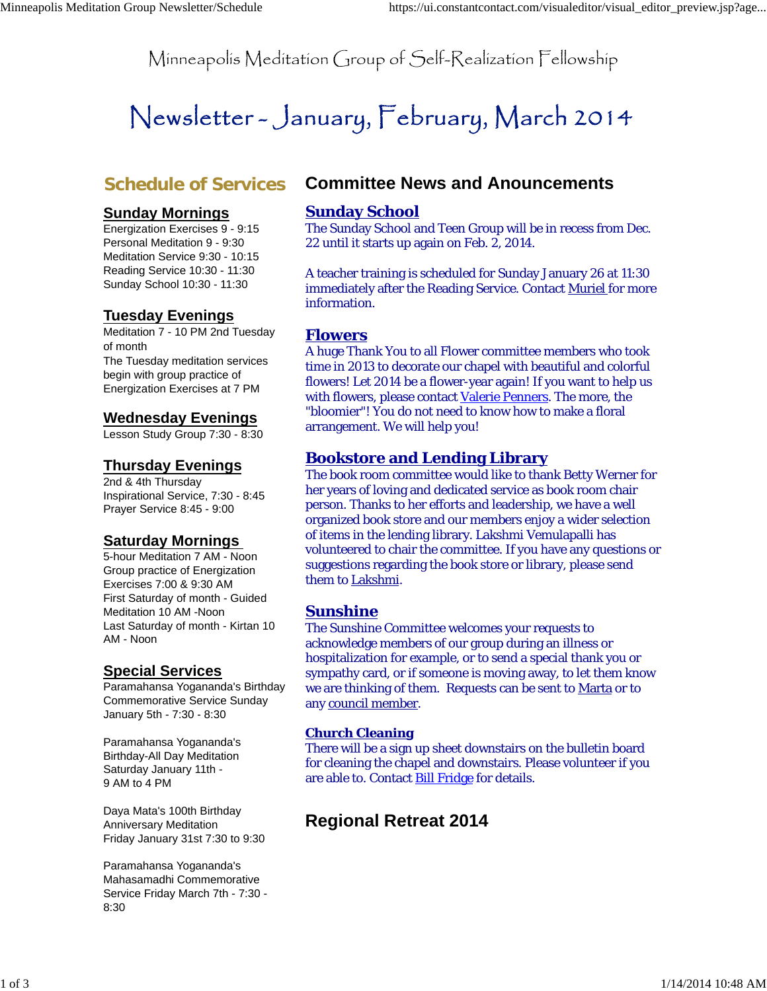Minneapolis Meditation Group of Self-Realization Fellowship

# Newsletter – January, February, March 2014

# **Schedule of Services**

# **Sunday Mornings**

Energization Exercises 9 - 9:15 Personal Meditation 9 - 9:30 Meditation Service 9:30 - 10:15 Reading Service 10:30 - 11:30 Sunday School 10:30 - 11:30

# **Tuesday Evenings**

Meditation 7 - 10 PM 2nd Tuesday of month The Tuesday meditation services begin with group practice of Energization Exercises at 7 PM

#### **Wednesday Evenings**

Lesson Study Group 7:30 - 8:30

## **Thursday Evenings**

2nd & 4th Thursday Inspirational Service, 7:30 - 8:45 Prayer Service 8:45 - 9:00

# **Saturday Mornings**

5-hour Meditation 7 AM - Noon Group practice of Energization Exercises 7:00 & 9:30 AM First Saturday of month - Guided Meditation 10 AM -Noon Last Saturday of month - Kirtan 10 AM - Noon

# **Special Services**

Paramahansa Yogananda's Birthday Commemorative Service Sunday January 5th - 7:30 - 8:30

Paramahansa Yogananda's Birthday-All Day Meditation Saturday January 11th - 9 AM to 4 PM

Daya Mata's 100th Birthday Anniversary Meditation Friday January 31st 7:30 to 9:30

Paramahansa Yogananda's Mahasamadhi Commemorative Service Friday March 7th - 7:30 - 8:30

# **Committee News and Anouncements**

## **Sunday School**

The Sunday School and Teen Group will be in recess from Dec. 22 until it starts up again on Feb. 2, 2014.

A teacher training is scheduled for Sunday January 26 at 11:30 immediately after the Reading Service. Contact Muriel for more information.

#### **Flowers**

A huge Thank You to all Flower committee members who took time in 2013 to decorate our chapel with beautiful and colorful flowers! Let 2014 be a flower-year again! If you want to help us with flowers, please contact Valerie Penners. The more, the "bloomier"! You do not need to know how to make a floral arrangement. We will help you!

#### **Bookstore and Lending Library**

The book room committee would like to thank Betty Werner for her years of loving and dedicated service as book room chair person. Thanks to her efforts and leadership, we have a well organized book store and our members enjoy a wider selection of items in the lending library. Lakshmi Vemulapalli has volunteered to chair the committee. If you have any questions or suggestions regarding the book store or library, please send them to Lakshmi.

# **Sunshine**

The Sunshine Committee welcomes your requests to acknowledge members of our group during an illness or hospitalization for example, or to send a special thank you or sympathy card, or if someone is moving away, to let them know we are thinking of them. Requests can be sent to Marta or to any council member.

#### **Church Cleaning**

There will be a sign up sheet downstairs on the bulletin board for cleaning the chapel and downstairs. Please volunteer if you are able to. Contact Bill Fridge for details.

# **Regional Retreat 2014**